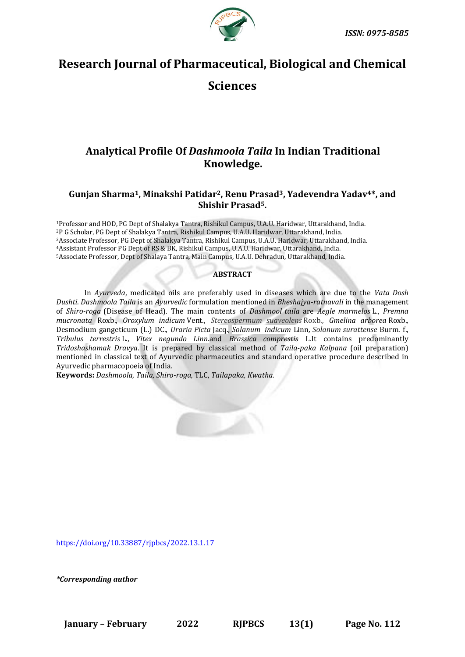

# **Research Journal of Pharmaceutical, Biological and Chemical**

## **Sciences**

## **Analytical Profile Of** *Dashmoola Taila* **In Indian Traditional Knowledge.**

## **Gunjan Sharma1, Minakshi Patidar2, Renu Prasad3, Yadevendra Yadav4\*, and Shishir Prasad5.**

Professor and HOD, PG Dept of Shalakya Tantra, Rishikul Campus, U.A.U. Haridwar, Uttarakhand, India. P G Scholar, PG Dept of Shalakya Tantra, Rishikul Campus, U.A.U. Haridwar, Uttarakhand, India. Associate Professor, PG Dept of Shalakya Tantra, Rishikul Campus, U.A.U. Haridwar, Uttarakhand, India. Assistant Professor PG Dept of RS & BK, Rishikul Campus, U.A.U. Haridwar, Uttarakhand, India. Associate Professor, Dept of Shalaya Tantra, Main Campus, U.A.U. Dehradun, Uttarakhand, India.

## **ABSTRACT**

In *Ayurveda*, medicated oils are preferably used in diseases which are due to the *Vata Dosh Dushti*. *Dashmoola Taila* is an *Ayurvedic* formulation mentioned in *Bheshajya-ratnavali* in the management of *Shiro-roga* (Disease of Head). The main contents of *Dashmool taila* are *Aegle marmelos* L., *Premna mucronata* Roxb., *Oroxylum indicum* Vent., *Stereospermum suaveolens* Roxb., *Gmelina arborea* Roxb.*,* Desmodium gangeticum (L.) DC., *Uraria Picta* Jacq.*, Solanum indicum* Linn*, Solanum surattense* Burm. f., *Tribulus terrestris* L., *Vitex negundo Linn.*and *Brassica comprestis* L.It contains predominantly *Tridoshashamak Dravya*. It is prepared by classical method of *Taila-paka Kalpana* (oil preparation) mentioned in classical text of Ayurvedic pharmaceutics and standard operative procedure described in Ayurvedic pharmacopoeia of India.

**Keywords:** *Dashmoola, Taila, Shiro-roga,* TLC, *Tailapaka, Kwatha.*

[https://doi.org/10.33887/rjpbcs/2022.13.1.17](https://doi.org/10.33887/rjpbcs/2022.13.1.1)

*\*Corresponding author*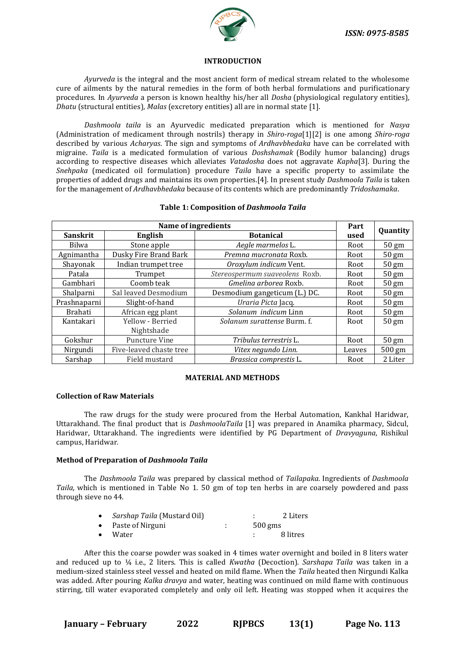

#### **INTRODUCTION**

*Ayurveda* is the integral and the most ancient form of medical stream related to the wholesome cure of ailments by the natural remedies in the form of both herbal formulations and purificationary procedures. In *Ayurveda* a person is known healthy his/her all *Dosha* (physiological regulatory entities)*, Dhatu* (structural entities)*, Malas* (excretory entities) all are in normal state [1].

*Dashmoola taila* is an Ayurvedic medicated preparation which is mentioned for *Nasya* (Administration of medicament through nostrils) therapy in *Shiro-roga*[1][2] is one among *Shiro-roga* described by various *Acharyas*. The sign and symptoms of *Ardhavbhedaka* have can be correlated with migraine. *Taila* is a medicated formulation of various *Doshshamak* (Bodily humor balancing) drugs according to respective diseases which alleviates *Vatadosha* does not aggravate *Kapha*[3]. During the *Snehpaka* (medicated oil formulation) procedure *Taila* have a specific property to assimilate the properties of added drugs and maintains its own properties.[4]. In present study *Dashmoola Taila* is taken for the management of *Ardhavbhedaka* because of its contents which are predominantly *Tridoshamaka*.

| Name of ingredients |                         |                                | Part   |                 |
|---------------------|-------------------------|--------------------------------|--------|-----------------|
| <b>Sanskrit</b>     | English                 | <b>Botanical</b>               | used   | Quantity        |
| Bilwa               | Stone apple             | Aegle marmelos L.              | Root   | $50 \text{ gm}$ |
| Agnimantha          | Dusky Fire Brand Bark   | Premna mucronata Roxb.         | Root   | $50 \text{ gm}$ |
| Shayonak            | Indian trumpet tree     | Oroxylum indicum Vent.         | Root   | $50 \text{ gm}$ |
| Patala              | Trumpet                 | Stereospermum suaveolens Roxb. | Root   | $50 \text{ gm}$ |
| Gambhari            | Coomb teak              | Gmelina arborea Roxb.          | Root   | $50 \text{ gm}$ |
| Shalparni           | Sal leaved Desmodium    | Desmodium gangeticum (L.) DC.  | Root   | $50 \text{ gm}$ |
| Prashnaparni        | Slight-of-hand          | Uraria Picta Jacq.             | Root   | $50 \text{ gm}$ |
| Brahati             | African egg plant       | Solanum indicum Linn           | Root   | $50 \text{ gm}$ |
| Kantakari           | Yellow - Berried        | Solanum surattense Burm. f.    | Root   | $50 \text{ gm}$ |
|                     | Nightshade              |                                |        |                 |
| Gokshur             | <b>Puncture Vine</b>    | Tribulus terrestris L.         | Root   | $50 \text{ gm}$ |
| Nirgundi            | Five-leaved chaste tree | Vitex negundo Linn.            | Leaves | 500 gm          |
| Sarshap             | Field mustard           | Brassica comprestis L.         | Root   | 2 Liter         |

#### **Table 1: Composition of** *Dashmoola Taila*

#### **MATERIAL AND METHODS**

#### **Collection of Raw Materials**

The raw drugs for the study were procured from the Herbal Automation, Kankhal Haridwar, Uttarakhand. The final product that is *DashmoolaTaila* [1] was prepared in Anamika pharmacy, Sidcul, Haridwar, Uttarakhand. The ingredients were identified by PG Department of *Dravyaguna*, Rishikul campus, Haridwar*.*

#### **Method of Preparation of** *Dashmoola Taila*

The *Dashmoola Taila* was prepared by classical method of *Tailapaka.* Ingredients of *Dashmoola Taila,* which is mentioned in Table No 1. 50 gm of top ten herbs in are coarsely powdered and pass through sieve no 44*.*

| $\bullet$ | <i>Sarshap Taila</i> (Mustard Oil) |           | 2 Liters |
|-----------|------------------------------------|-----------|----------|
|           | • Paste of Nirguni                 | $500$ gms |          |
| $\bullet$ | Water                              |           | 8 litres |

After this the coarse powder was soaked in 4 times water overnight and boiled in 8 liters water and reduced up to ¼ i.e., 2 liters. This is called *Kwatha* (Decoction). *Sarshapa Taila* was taken in a medium-sized stainless steel vessel and heated on mild flame. When the *Taila* heated then Nirgundi Kalka was added. After pouring *Kalka dravya* and water, heating was continued on mild flame with continuous stirring, till water evaporated completely and only oil left. Heating was stopped when it acquires the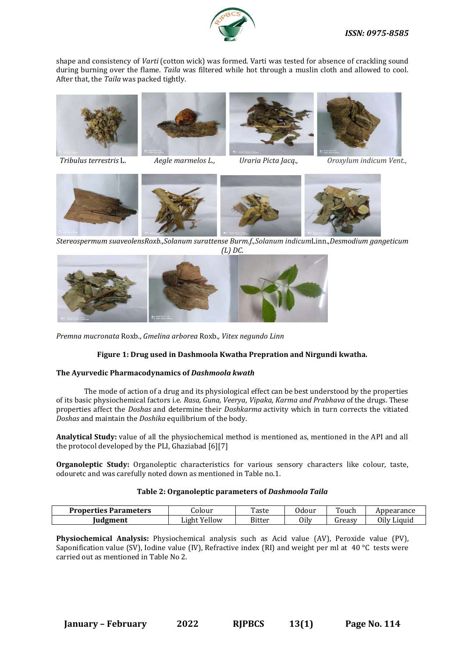

shape and consistency of *Varti* (cotton wick) was formed. Varti was tested for absence of crackling sound during burning over the flame. *Taila* was filtered while hot through a muslin cloth and allowed to cool. After that, the *Taila* was packed tightly.







 *Tribulus terrestris* L. *Aegle marmelos L., Uraria Picta Jacq., Oroxylum indicum Vent*.,



*Stereospermum suaveolensRoxb.*,*Solanum surattense Burm.f.,Solanum indicum*Linn.,*Desmodium gangeticum (L) DC.*



*Premna mucronata* Roxb., *Gmelina arborea* Roxb.*, Vitex negundo Linn*

## **Figure 1: Drug used in Dashmoola Kwatha Prepration and Nirgundi kwatha.**

## **The Ayurvedic Pharmacodynamics of** *Dashmoola kwath*

The mode of action of a drug and its physiological effect can be best understood by the properties of its basic physiochemical factors i.e. *Rasa, Guna, Veerya*, *Vipaka, Karma and Prabhava* of the drugs. These properties affect the *Doshas* and determine their *Doshkarma* activity which in turn corrects the vitiated *Doshas* and maintain the *Doshika* equilibrium of the body.

**Analytical Study:** value of all the physiochemical method is mentioned as, mentioned in the API and all the protocol developed by the PLI, Ghaziabad [6][7]

**Organoleptic Study:** Organoleptic characteristics for various sensory characters like colour, taste, odouretc and was carefully noted down as mentioned in Table no.1.

## **Table 2: Organoleptic parameters of** *Dashmoola Taila*

| <b>Properties Parameters</b> | Jolour               | Taste  | Jdour | Touch         | Appearance     |
|------------------------------|----------------------|--------|-------|---------------|----------------|
| Judgment                     | Yellow<br>.<br>Light | Bitter | Oily  | <b>dreasy</b> | Oilv<br>Liquid |

**Physiochemical Analysis:** Physiochemical analysis such as Acid value (AV), Peroxide value (PV), Saponification value (SV), Iodine value (IV), Refractive index (RI) and weight per ml at 40 °C tests were carried out as mentioned in Table No 2.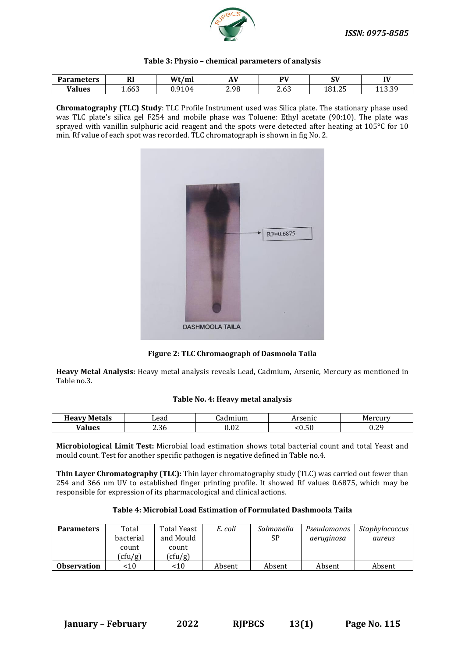

| Table 3: Physio - chemical parameters of analysis |  |  |
|---------------------------------------------------|--|--|
|---------------------------------------------------|--|--|

| <b>Parameters</b> | n'<br>лı | Wt/m   | . T 7 | <b>PV</b>   | $\sim$<br>ູບະ | IV     |
|-------------------|----------|--------|-------|-------------|---------------|--------|
| <b>Values</b>     | 1.663    | J.9104 | 2.98  | ົ ເ<br>2.63 | 181.25        | 11 J.J |

**Chromatography (TLC) Study**: TLC Profile Instrument used was Silica plate. The stationary phase used was TLC plate's silica gel F254 and mobile phase was Toluene: Ethyl acetate (90:10). The plate was sprayed with vanillin sulphuric acid reagent and the spots were detected after heating at 105°C for 10 min. Rf value of each spot was recorded. TLC chromatograph is shown in fig No. 2.



**Figure 2: TLC Chromaograph of Dasmoola Taila**

**Heavy Metal Analysis:** Heavy metal analysis reveals Lead, Cadmium, Arsenic, Mercury as mentioned in Table no.3.

#### **Table No. 4: Heavy metal analysis**

| $-$<br>letals<br><b>Heavy</b> | Lead | -----<br>uun.     | -me<br>4 L L         | <b>ISLAND</b><br>1171 |
|-------------------------------|------|-------------------|----------------------|-----------------------|
| <b>Values</b>                 | 2.36 | 0.02 <sub>1</sub> | $\mathsf{r}$<br>.u.j | $\Omega$<br>v.        |

**Microbiological Limit Test:** Microbial load estimation shows total bacterial count and total Yeast and mould count. Test for another specific pathogen is negative defined in Table no.4.

**Thin Layer Chromatography (TLC):** Thin layer chromatography study (TLC) was carried out fewer than 254 and 366 nm UV to established finger printing profile. It showed Rf values 0.6875, which may be responsible for expression of its pharmacological and clinical actions.

### **Table 4: Microbial Load Estimation of Formulated Dashmoola Taila**

| <b>Parameters</b>  | Total     | Total Yeast | E. coli | Salmonella | Pseudomonas | Staphylococcus |
|--------------------|-----------|-------------|---------|------------|-------------|----------------|
|                    | bacterial | and Mould   |         | SP         | aeruginosa  | aureus         |
|                    | count     | count       |         |            |             |                |
|                    | (cfu/g)   | (cfu/g)     |         |            |             |                |
| <b>Observation</b> | ~10       | <10         | Absent  | Absent     | Absent      | Absent         |